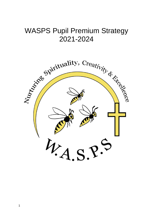# WASPS Pupil Premium Strategy 2021-2024

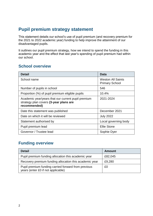# **Pupil premium strategy statement**

This statement details our school's use of pupil premium (and recovery premium for the 2021 to 2022 academic year) funding to help improve the attainment of our disadvantaged pupils.

It outlines our pupil premium strategy, how we intend to spend the funding in this academic year and the effect that last year's spending of pupil premium had within our school.

#### **School overview**

| <b>Detail</b>                                                                                                | Data                                              |
|--------------------------------------------------------------------------------------------------------------|---------------------------------------------------|
| School name                                                                                                  | <b>Weston All Saints</b><br><b>Primary School</b> |
| Number of pupils in school                                                                                   | 546                                               |
| Proportion (%) of pupil premium eligible pupils                                                              | 10.4%                                             |
| Academic year/years that our current pupil premium<br>strategy plan covers (3-year plans are<br>recommended) | 2021-2024                                         |
| Date this statement was published                                                                            | December 2021                                     |
| Date on which it will be reviewed                                                                            | <b>July 2022</b>                                  |
| Statement authorised by                                                                                      | Local governing body                              |
| Pupil premium lead                                                                                           | <b>Ellie Stone</b>                                |
| Governor / Trustee lead                                                                                      | Sophie Dyer                                       |

## **Funding overview**

| <b>Detail</b>                                                                             | <b>Amount</b> |
|-------------------------------------------------------------------------------------------|---------------|
| Pupil premium funding allocation this academic year                                       | £82,045       |
| Recovery premium funding allocation this academic year                                    | £9,280        |
| Pupil premium funding carried forward from previous<br>years (enter £0 if not applicable) | £0            |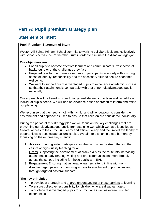# **Part A: Pupil premium strategy plan**

#### **Statement of intent**

#### **Pupil Premium Statement of Intent**

Weston All Saints Primary School commits to working collaboratively and collectively with schools across the Partnership Trust in order to eliminate the disadvantage gap.

#### **Our objectives are:**

- For all pupils to become effective learners and communicators irrespective of background or of the challenges they face.
- Preparedness for the future as successful participants in society with a strong sense of identity, responsibility and the necessary skills to secure economic wellbeing.
- We want to support our disadvantaged pupils to experience academic success so that their attainment is comparable with that of non-disadvantaged pupils nationally.

Our approach will be tiered in order to target well defined cohorts as well as address individual pupils needs. We will use an evidence-based approach to inform and refine our planning.

We recognise that the need is not 'within child' and will endeavour to consider the environment and approaches used to ensure that children are considered individually.

During the period of this strategy plan we will focus on the key challenges that are preventing our disadvantaged pupils from attaining well which we have identified as: Greater access to the curriculum; early and efficient oracy and the limited availability of opportunities to accumulate cultural capital. We aim to dismantle these barriers by focussing on these three key strands:

- 1. **Access** to, and greater participation in, the curriculum by strengthening the calibre of high-quality teaching for all
- **2. Oracy** Supporting the development of oracy skills as the route into increasing attainment in early reading, writing and oral communication, more broadly across the school, including for those pupils with EAL
- 3. **Engagement** Ensuring that vulnerable learners attend in line with nondisadvantaged peers by prioritising access to enrichment opportunities and through targeted pastoral support

#### **The key principles**

- To develop a thorough and shared understanding of these barriers to learning
- To ensure collective responsibility for children who are disadvantaged.
- To privilege disadvantaged pupils for curricular as well as extra-curricular experiences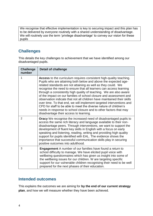We recognise that effective implementation is key to securing impact and this plan has to be delivered by everyone routinely with a shared understanding of disadvantage. We will routinely use the term 'privilege disadvantage' to convey our vision for these pupils

#### **Challenges**

This details the key challenges to achievement that we have identified among our disadvantaged pupils.

| <b>Challenge</b><br>number | <b>Detail of challenge</b>                                                                                                                                                                                                                                                                                                                                                                                                                                                                                                                                                                                                                                                                                                                                       |
|----------------------------|------------------------------------------------------------------------------------------------------------------------------------------------------------------------------------------------------------------------------------------------------------------------------------------------------------------------------------------------------------------------------------------------------------------------------------------------------------------------------------------------------------------------------------------------------------------------------------------------------------------------------------------------------------------------------------------------------------------------------------------------------------------|
| 1                          | Access to the curriculum requires consistent high-quality teaching.<br>Pupils who are attaining both below and above the expected age-<br>related standards are not attaining as well as they could. We<br>recognise the need to ensure that all learners can access learning<br>through a consistently high quality of teaching. We are also aware<br>of the impact on our families of school closure and assessment and<br>observation indicate that not all children have maintained their skills<br>over time. To that end, we will implement targeted interventions and<br>CPD for staff to be able to meet the diverse nature of children's<br>needs in response to school closure and to other factors that may<br>disadvantage their access to learning. |
| $\overline{2}$             | <b>Oracy</b> We recognise the increased need of disadvantaged pupils to<br>access the same rich literacy and language available to their non-<br>disadvantage peers. Through interventions, we want to support the<br>development of fluent key skills in English with a focus on early<br>speaking and listening, reading, writing and providing high quality<br>support for pupils identified with EAL. The evidence shows the<br>importance that successful communication skills play in securing<br>positive outcomes into adulthood.                                                                                                                                                                                                                        |
| 3                          | <b>Engagement</b> A number of our families have found a return to<br>school difficulty to manage. We have elicited pupil voice with<br>wellbeing questionnaires which has given us insight into some of<br>the wellbeing issues for our children. W are targeting specific<br>support for our vulnerable children recognising their need to be well<br>prepared for the next phases of their education.                                                                                                                                                                                                                                                                                                                                                          |

#### **Intended outcomes**

This explains the outcomes we are aiming for **by the end of our current strategy plan**, and how we will measure whether they have been achieved.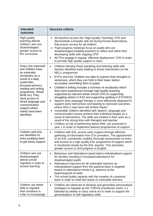| <b>Intended</b><br>outcome                                                                                                                                                                                                                                                                                     | <b>Success criteria</b>                                                                                                                                                                                                                                                                                                                                                                                                                                                                                                                                                                                                                                                                                                                                                                                                                                                                                                                                                                                                                                                                                                                                                              |
|----------------------------------------------------------------------------------------------------------------------------------------------------------------------------------------------------------------------------------------------------------------------------------------------------------------|--------------------------------------------------------------------------------------------------------------------------------------------------------------------------------------------------------------------------------------------------------------------------------------------------------------------------------------------------------------------------------------------------------------------------------------------------------------------------------------------------------------------------------------------------------------------------------------------------------------------------------------------------------------------------------------------------------------------------------------------------------------------------------------------------------------------------------------------------------------------------------------------------------------------------------------------------------------------------------------------------------------------------------------------------------------------------------------------------------------------------------------------------------------------------------------|
| High quality<br>teaching affords<br>children, who are<br>disadvantaged,<br>greater access to<br>the curriculum                                                                                                                                                                                                 | All teachers access the 'High-Quality Teaching' CPD and<br>demonstrate a broader skill set during formal observations,<br>that ensure access for all children<br>Pupil progress meetings focus on pupils who are<br>disadvantaged enabling teachers to reflect and refine their<br>developing skills with ongoing CPD<br>All TA's engage in regular 'effective deployment' CPD in order<br>$\bullet$<br>to provide high quality support in class                                                                                                                                                                                                                                                                                                                                                                                                                                                                                                                                                                                                                                                                                                                                     |
| Oracy has improved<br>and children have<br>an extended<br>vocabulary as a<br>result of a daily,<br>systematic,<br>focussed phonics,<br>reading and writing<br>programme. (Read<br>Write Inc) They<br>have access to<br>tiered language and<br>communication<br>support where<br>needs have been<br>identified. | Children develop fluent speaking and listening skills with<br>$\bullet$<br>barriers identified early leading to timely intervention on the<br><b>NELLI</b> programme<br>EYFS and KS1 Children are able to express their thoughts in<br>$\bullet$<br>sentences, which they can hold in their head, before<br>accurately committing them to paper<br>Children's writing includes a richness of vocabulary which<br>$\bullet$<br>they have experienced through high quality teaching<br>supported by relevant whole school CPD on supporting<br>struggling writers in KS2 and supporting spelling in EYFS/KS1<br>Speech and Language therapy is more effectively deployed to<br>$\bullet$<br>support early intervention and leading to improved outcomes<br>where NELLI may have had limited impact<br>Vulnerable children identified with Speech, language and<br>communication issues achieve their individual targets as a<br>result of intervention. The skills are evident in their work as a<br>result of the strong links with therapist and teacher<br>Children at risk of performing below ARE, are screened in<br>year 1 in order to implement tailored programmes of support |
| <b>Children with EAL</b><br>are identified on<br>entry enabling them<br>to get timely support                                                                                                                                                                                                                  | Children with EAL access early support through effective<br>$\bullet$<br>gathering of information from EYs providers. The appointment<br>of an EAL coordinator enables thorough assessment on entry<br>and access to a high quality EAL programme of support which<br>is monitored closely by the EAL teacher. This promotes<br>greater access to and progress in English                                                                                                                                                                                                                                                                                                                                                                                                                                                                                                                                                                                                                                                                                                                                                                                                            |
| Children who are<br>disadvantaged<br>attend school<br>regularly in order to<br>access learning                                                                                                                                                                                                                 | Behaviour and Attendance panel tailors individualised support<br>$\bullet$<br>for families resulting in increased attendance for<br>disadvantaged pupils<br>Attendance improves for all vulnerable learners as<br>$\bullet$<br>Individualised support from the pastoral team is targeted<br>based on attendance trends e.g. absence at the<br>beginning/end of week<br>The school builds capacity with the creation of a pastoral<br>$\bullet$<br>team in order to meet the needs of vulnerable learners                                                                                                                                                                                                                                                                                                                                                                                                                                                                                                                                                                                                                                                                             |
| Children are better<br>able to regulate<br>their emotions in<br>order to increasingly                                                                                                                                                                                                                          | Children are observed to develop and generalise personalised<br>$\bullet$<br>strategies to regulate as the THRIVE practitioner works 1:1<br>followed by weekly in class check-ins in order to support the<br>generalisation of self-regulatory skills                                                                                                                                                                                                                                                                                                                                                                                                                                                                                                                                                                                                                                                                                                                                                                                                                                                                                                                                |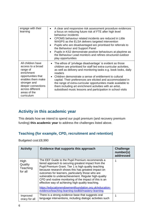| engage with their<br>learning                                                                                                                                                                       | A clear and responsive risk assessment procedure evidences<br>$\bullet$<br>a focus on reducing future risk of FTE after high level<br>behaviour incidents<br>CPOMS behaviour related incidents are reduced in Little<br>$\bullet$<br>WASPS as the ELSA delivers targeted intervention<br>Pupils who are disadvantaged are prioritised for referrals to<br>$\bullet$<br>the Behaviour and Support Panel<br>Pupils in KS2 demonstrate positive behaviours at playtime as<br>$\bullet$<br>the Behaviour Lead monitors and refines structured outdoor<br>play opportunities |
|-----------------------------------------------------------------------------------------------------------------------------------------------------------------------------------------------------|-------------------------------------------------------------------------------------------------------------------------------------------------------------------------------------------------------------------------------------------------------------------------------------------------------------------------------------------------------------------------------------------------------------------------------------------------------------------------------------------------------------------------------------------------------------------------|
| All children have<br>access to a broad<br>range of<br>enrichment<br>opportunities that<br>enables them make<br>stronger and<br>deeper connections<br>across different<br>areas of the<br>curriculum | The ethos of 'privilege disadvantage' is evident as those<br>children are prioritised for staff led extra-curricular activities,<br>as well as delivery and monitoring tasks e.g. book looks, daily<br>readers<br>• Children demonstrate a sense of entitlement to cultural<br>capital. Their preferences are elicited and accommodated in<br>the range of extra-curricular opportunities made available to<br>them including art enrichment activities with an artist,<br>subsidised music lessons and participation in school visits                                  |

## **Activity in this academic year**

This details how we intend to spend our pupil premium (and recovery premium funding) **this academic year** to address the challenges listed above.

#### **Teaching (for example, CPD, recruitment and retention)**

Budgeted cost:£8,990

| <b>Activity</b>                        | Evidence that supports this approach                                                                                                                                                                                                                                                                                                                                                                                                                                                                                                                               | <b>Challenge</b><br>number(s)<br>addressed |
|----------------------------------------|--------------------------------------------------------------------------------------------------------------------------------------------------------------------------------------------------------------------------------------------------------------------------------------------------------------------------------------------------------------------------------------------------------------------------------------------------------------------------------------------------------------------------------------------------------------------|--------------------------------------------|
| High<br>Quality<br>Teaching<br>for all | The EEF Guide to the Pupil Premium recommends a<br>tiered approach to securing greatest impact from the<br>Pupil Premium Grant. Tier 1 is high quality teaching<br>because research shows this has greatest impact on<br>outcomes for learners, particularly those who are<br>vulnerable to underachievement. Regular high-quality<br>CPD and routine monitoring of the impact of this is an<br>effective way of achieving high quality teaching.<br>https://educationendowmentfoundation.org.uk/education-<br>evidence/teaching-learning-toolkit/mastery-learning |                                            |
| Improved<br>oracy for all              | There is a strong evidence base that suggests oral<br>language interventions, including dialogic activities such                                                                                                                                                                                                                                                                                                                                                                                                                                                   | 1                                          |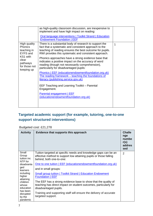|                                                              | as high-quality classroom discussion, are inexpensive to<br>implement and have high impact on reading:                                                                                                                               |   |
|--------------------------------------------------------------|--------------------------------------------------------------------------------------------------------------------------------------------------------------------------------------------------------------------------------------|---|
|                                                              | Oral language interventions   Toolkit Strand   Education<br><b>Endowment Foundation   EEF</b>                                                                                                                                        |   |
| High quality<br><b>Phonics</b><br>teaching in<br>EYFS and    | There is a substantial body of research to support the<br>fact that a systematic and consistent approach to the<br>teaching of reading ensures the best outcome for pupils.<br>RWI provides this systematic and consistent approach. | 1 |
| KS1 with<br>clear<br>pathways<br>for those not<br>keeping up | Phonics approaches have a strong evidence base that<br>indicates a positive impact on the accuracy of word<br>reading (though not necessarily comprehension),<br>particularly for disadvantaged pupils:                              |   |
|                                                              | Phonics   EEF (educationendowmentfoundation.org.uk)<br>The reading framework – teaching the foundations of<br>literacy (publishing.service.gov.uk)                                                                                   |   |
|                                                              | EEF Teaching and Learning Toolkit - Parental<br>Engagement.                                                                                                                                                                          |   |
|                                                              | Parental engagement   EEF<br>(educationendowmentfoundation.org.uk)                                                                                                                                                                   |   |
|                                                              |                                                                                                                                                                                                                                      |   |

## **Targeted academic support (for example, tutoring, one-to-one support structured interventions)**

Budgeted cost: £21,278

| <b>Activity</b>                                                                                                                                                                                 | Evidence that supports this approach                                                                                                                                                                                                                                                                                                                                                                                                                                                                                                                                                                                 | <b>Challe</b><br>nge<br>numbe<br>r(s)<br>addres<br>sed |
|-------------------------------------------------------------------------------------------------------------------------------------------------------------------------------------------------|----------------------------------------------------------------------------------------------------------------------------------------------------------------------------------------------------------------------------------------------------------------------------------------------------------------------------------------------------------------------------------------------------------------------------------------------------------------------------------------------------------------------------------------------------------------------------------------------------------------------|--------------------------------------------------------|
| Small<br>Group<br>tuition inc.<br>NTP for<br>disadvanta<br>ged<br>learners<br>including<br>higher<br>attaining<br>children<br>whose<br>education<br>has been<br>disrupted<br>by the<br>pandemic | Tuition targeted at specific needs and knowledge gaps can be an<br>effective method to support low attaining pupils or those falling<br>behind, both one-to-one:<br>One to one tuition   EEF (educationendowmentfoundation.org.uk)<br>and in small groups:<br><b>Small group tuition   Toolkit Strand   Education Endowment</b><br><b>Foundation   EEF</b><br>The EEF has a strong evidence base to show that the quality of<br>teaching has direct impact on student outcomes, particularly for<br>disadvantaged pupils.<br>Training and supporting staff will ensure the delivery of accurate<br>targeted support. | 2                                                      |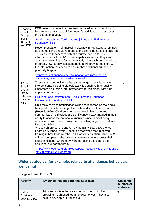| Phonics<br>Small<br>Group<br>Tuition<br>in EYFS<br>and KS1 | EEF research shows that precisely targeted small group tuition<br>has an average impact of four month's additional progress over<br>the course of a year.                                                                                                                                                                                                                                                                                                                                                                                                                                                                                                                                                                                                                                                  | $\overline{2}$ |
|------------------------------------------------------------|------------------------------------------------------------------------------------------------------------------------------------------------------------------------------------------------------------------------------------------------------------------------------------------------------------------------------------------------------------------------------------------------------------------------------------------------------------------------------------------------------------------------------------------------------------------------------------------------------------------------------------------------------------------------------------------------------------------------------------------------------------------------------------------------------------|----------------|
|                                                            | <b>Small group tuition   Toolkit Strand   Education Endowment</b><br><b>Foundation   EEF</b>                                                                                                                                                                                                                                                                                                                                                                                                                                                                                                                                                                                                                                                                                                               |                |
|                                                            | Recommendation 7 of Improving Literacy in Key Stage 1 reminds<br>us that teaching should respond to the changing needs of children.<br>This requires teachers to collect accurate and up-to-date<br>information about pupils' current capabilities so that they can<br>adapt their teaching to focus on exactly what each pupil needs to<br>progress. RWI termly assessment data will provide teachers with<br>the information they need to ensure that additional support is<br>precisely targeted.                                                                                                                                                                                                                                                                                                       |                |
|                                                            | https://educationendowmentfoundation.org.uk/education-<br>evidence/guidance-reports/literacy-ks-1                                                                                                                                                                                                                                                                                                                                                                                                                                                                                                                                                                                                                                                                                                          |                |
| $1:1$ and<br>Small<br>Group<br>Oracy                       | There is a strong evidence base that suggests oral language<br>interventions, including dialogic activities such as high-quality<br>classroom discussion, are inexpensive to implement with high<br>impacts on reading:                                                                                                                                                                                                                                                                                                                                                                                                                                                                                                                                                                                    | $\overline{2}$ |
| Interven<br>tions in                                       | <b>Oral language interventions   Toolkit Strand   Education</b><br><b>Endowment Foundation   EEF</b>                                                                                                                                                                                                                                                                                                                                                                                                                                                                                                                                                                                                                                                                                                       |                |
| KS <sub>1</sub>                                            | Children's early communication skills are regarded as the single<br>best predictor of future cognitive skills and school performance<br>(Rosetti, 1996). Children who have speech, language and<br>communication difficulties are significantly disadvantaged in their<br>ability to access the national curriculum since "almost every<br>educational skill presupposes the use of language" (Dockrell and<br>Lindsay, 1998).<br>A research project undertaken by the Early Years Excellence<br>Learning Alliance (eyela), identified that when staff received<br>training in how to deliver the Talk Boost intervention, 18 out of 20<br>children completing the intervention were able to express their<br>ideas in lessons, where they were not doing this before the<br>additional support for 8racy. |                |
|                                                            | https://www.eyela.org.uk/uploads/pdfs/Research%20Talk%20Boo<br>st%20Project%20Report.pdf                                                                                                                                                                                                                                                                                                                                                                                                                                                                                                                                                                                                                                                                                                                   |                |

## **Wider strategies (for example, related to attendance, behaviour, wellbeing)**

Budgeted cost: £ 51.773

| <b>Activity</b>                          | Evidence that supports this approach                                                                                                             | <b>Challenge</b><br>number(s)<br>addressed |
|------------------------------------------|--------------------------------------------------------------------------------------------------------------------------------------------------|--------------------------------------------|
| Extra-<br>Curricular<br>activity, trips, | Trips and visits enhance and enrich the curriculum,<br>providing heightened learning experiences. They also<br>help to develop cultural capital. | 3                                          |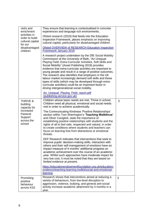| visits and<br>enrichment<br>activities in<br>order to build<br>cultural capital<br>for our<br>disadvantaged<br>children | They ensure that learning is contextualised in concrete<br>experiences and language rich environments.<br>Ofsted research (2019) that feeds into the Education<br>Inspection Framework, places emphasis on improving<br>cultural capital, particularly for disadvantaged children.<br>Ofsted OVERVIEW of RESEARCH Education Inspection<br><b>Framework January 2019</b><br>A research project undertaken by the DfE Social Mobility<br>Commission at the University of Bath, "An Unequal<br>Playing Field: Extra-Curricular Activities, Soft Skills and<br>Social Mobility" (Asset Publishing 2019) provides<br>evidence that extra-curricular activities are important to<br>young people and result in a range of positive outcomes.<br>The research also identifies that employers in the UK<br>labour market increasingly demand soft skills and these<br>types of skills (which may be developed through extra-<br>curricular activities) could be an important factor in<br>driving intergenerational social mobility.                                                                                                                                       |   |
|-------------------------------------------------------------------------------------------------------------------------|--------------------------------------------------------------------------------------------------------------------------------------------------------------------------------------------------------------------------------------------------------------------------------------------------------------------------------------------------------------------------------------------------------------------------------------------------------------------------------------------------------------------------------------------------------------------------------------------------------------------------------------------------------------------------------------------------------------------------------------------------------------------------------------------------------------------------------------------------------------------------------------------------------------------------------------------------------------------------------------------------------------------------------------------------------------------------------------------------------------------------------------------------------------------|---|
|                                                                                                                         | An Unequal Playing Field report.pdf<br>(publishing.service.gov.uk)                                                                                                                                                                                                                                                                                                                                                                                                                                                                                                                                                                                                                                                                                                                                                                                                                                                                                                                                                                                                                                                                                                 |   |
| <b>THRIVE &amp;</b><br>building<br>capacity for<br>increased<br>Pastoral<br>Support<br>across the<br>school             | Children whose basic needs are met, Thrive in school.<br>Children need all physical, emotional and social needs<br>met in order to achieve academically.<br>The Communicating Kindness 'Positive Relationships'<br>section within Tom Sherrington's 'Teaching Walkthrus'<br>and Oliver Caviglioli, state the importance of<br>establishing positive relationships with students and the<br>rights of all to feel safe, respected and valued, in order<br>to create conditions where students and teachers can<br>focus on learning free from distractions or emotional<br>threats.<br>EEF Research indicates that interventions that seek to<br>improve pupils' decision-making skills, interaction with<br>others and their self-management of emotions have an<br>impact measure of 4 months' additional progress on<br>academic achievement over the course of an academic<br>year. Whilst such approaches have moderate impact for<br>very low cost, it must be noted that they are based on<br>limited evidence at present.<br>https://educationendowmentfoundation.org.uk/education-<br>evidence/teaching-learning-toolkit/social-and-emotional-<br>learning | 3 |
| Promoting<br>positive<br>behaviour<br>across KS2                                                                        | Research shows that interventions aimed at reducing a<br>variety of behaviours, from low-level disruption to<br>aggression, violence, bullying, and general anti-social<br>activity increase academic attainment by 4 months in a<br>year.                                                                                                                                                                                                                                                                                                                                                                                                                                                                                                                                                                                                                                                                                                                                                                                                                                                                                                                         | 3 |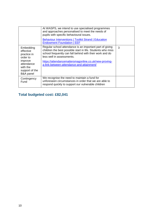|                                                                                                                                  | At WASPS, we intend to use specialised programmes<br>and approaches personalised to meet the needs of<br>pupils with specific behavioural issues.                                                                                                                                                                      |   |
|----------------------------------------------------------------------------------------------------------------------------------|------------------------------------------------------------------------------------------------------------------------------------------------------------------------------------------------------------------------------------------------------------------------------------------------------------------------|---|
|                                                                                                                                  | <b>Behaviour Interventions   Toolkit Strand   Education</b><br><b>Endowment Foundation   EEF</b>                                                                                                                                                                                                                       |   |
| Embedding<br>effective<br>practice in<br>order to<br>improve<br>attendance<br>with the<br>support of the<br><b>B&amp;A</b> panel | Regular school attendance is an important part of giving<br>children the best possible start in life. Students who miss<br>school frequently can fall behind with their work and do<br>less well in assessments.<br>https://attendancemattersmagonline.co.uk/new-proving-<br>a-link-between-attendance-and-attainment/ | 3 |
| Contingency<br>Fund                                                                                                              | We recognise the need to maintain a fund for<br>unforeseen circumstances in order that we are able to<br>respond quickly to support our vulnerable children                                                                                                                                                            |   |

# **Total budgeted cost: £82,041**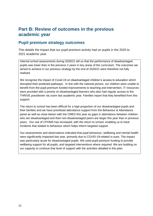# **Part B: Review of outcomes in the previous academic year**

#### **Pupil premium strategy outcomes**

This details the impact that our pupil premium activity had on pupils in the 2020 to 2021 academic year.

Internal school assessments during 2020/21 tell us that the performance of disadvantaged pupils was lower than in the previous 2 years in key areas of the curriculum. The outcomes we aimed to achieve in our previous strategy by the end of 2020/21 were therefore not fully realised.

We recognise the impact of Covid-19 on disadvantaged children's access to education which disrupted their predicted pathways. In line with the national picture, our children were unable to benefit from the pupil premium funded improvements to teaching and intervention. IT resources were provided with a priority on disadvantaged learners who also had regular access to the THRIVE practitioner via zoom last academic year. Families report that they benefited from this support.

The return to school has been difficult for a high proportion of our disadvantaged pupils and their families and we have prioritised attendance support from the Behaviour & Attendance panel as well as close liaison with the CMES this year as gaps in attendance between children who are disadvantaged and their non-disadvantaged peers are larger this year than in previous years. Our use of CPOMS has increased, with the return to school, enabling us to track incidents that related to behaviour which helps inform targeted support.

Our assessments and observations indicated that pupil behaviour, wellbeing and mental health were significantly impacted last year, primarily due to COVID-19-related is-sues. The impact was particularly acute for disadvantaged pupils. We used pupil premium funding to provide wellbeing support for all pupils, and targeted interventions where required. We are building on our capacity to continue that level of support with the activities detailed in this plan.